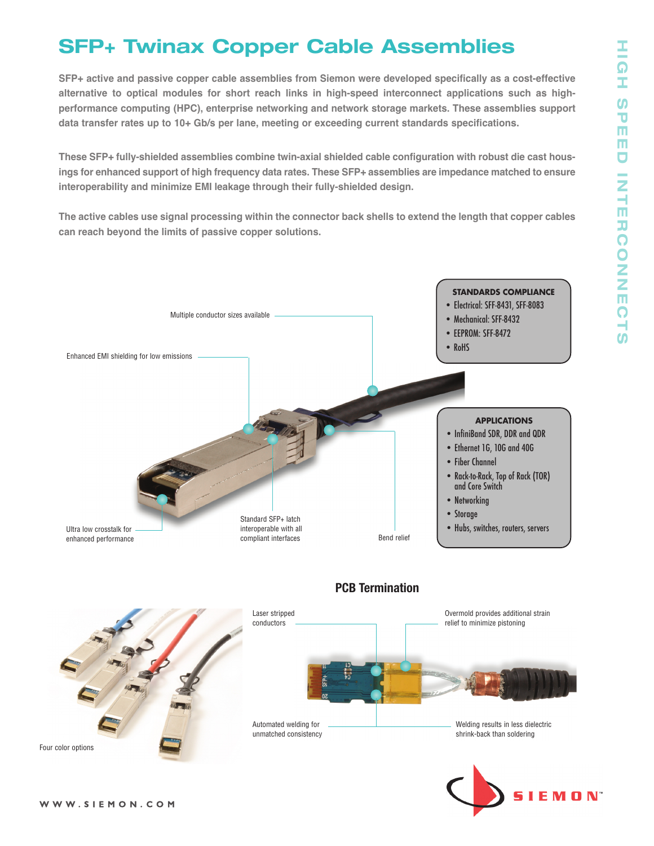# **SFP+ Twinax Copper Cable Assemblies**

**SFP+ active and passive copper cable assemblies from Siemon were developed specifically as a cost-effective alternative to optical modules for short reach links in high-speed interconnect applications such as highperformance computing (HPC), enterprise networking and network storage markets. These assemblies support data transfer rates up to 10+ Gb/s per lane, meeting or exceeding current standards specifications.**

**These SFP+ fully-shielded assemblies combine twin-axial shielded cable configuration with robust die cast hous**ings for enhanced support of high frequency data rates. These SFP+ assemblies are impedance matched to ensure **interoperability and minimize EMI leakage through their fully-shielded design.**

The active cables use signal processing within the connector back shells to extend the length that copper cables **can reach beyond the limits of passive copper solutions.**